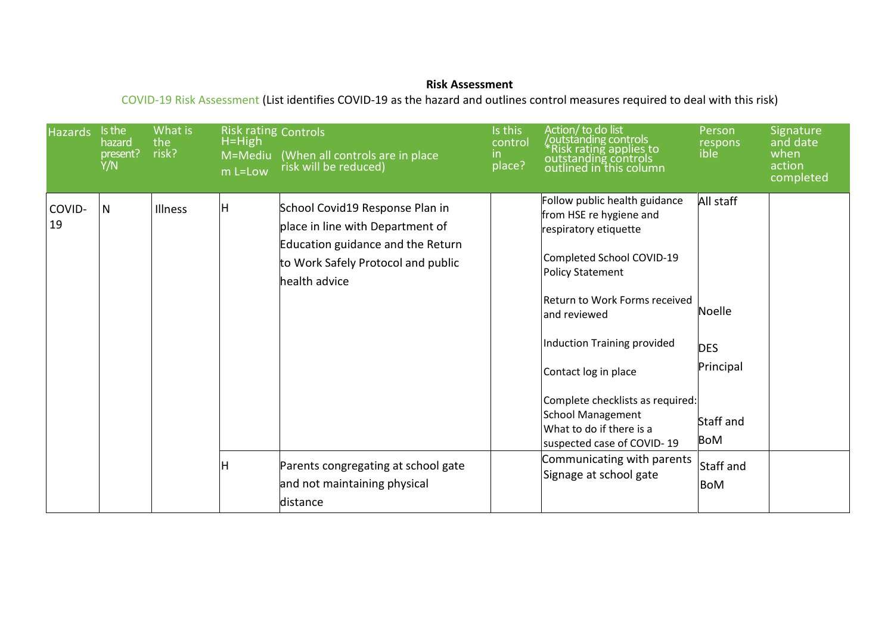## **Risk Assessment**

COVID-19 Risk Assessment (List identifies COVID-19 as the hazard and outlines control measures required to deal with this risk)

| <b>Hazards</b> | Is the<br>hazard<br>present?<br>Y/N | What is<br>the<br>risk? | <b>Risk rating Controls</b><br>$H=High$<br>M=Mediu<br>m L=Low | (When all controls are in place<br>risk will be reduced)                                                                                                        | Is this<br>control<br>in.<br>place? | Action/to do list<br>outstanding controls/<br><i><b>*Risk rating applies to<br/>outstanding controls<br/>outlined in this column</b></i>                                                                                                                                                                                                                                    | Person<br>respons<br>ible                                                 | Signature<br>and date<br>when<br>action<br>completed |
|----------------|-------------------------------------|-------------------------|---------------------------------------------------------------|-----------------------------------------------------------------------------------------------------------------------------------------------------------------|-------------------------------------|-----------------------------------------------------------------------------------------------------------------------------------------------------------------------------------------------------------------------------------------------------------------------------------------------------------------------------------------------------------------------------|---------------------------------------------------------------------------|------------------------------------------------------|
| COVID-<br>19   | $\mathsf{N}$                        | Illness                 | H                                                             | School Covid19 Response Plan in<br>place in line with Department of<br>Education guidance and the Return<br>to Work Safely Protocol and public<br>health advice |                                     | Follow public health guidance<br>from HSE re hygiene and<br>respiratory etiquette<br>Completed School COVID-19<br><b>Policy Statement</b><br>Return to Work Forms received<br>and reviewed<br>Induction Training provided<br>Contact log in place<br>Complete checklists as required:<br><b>School Management</b><br>What to do if there is a<br>suspected case of COVID-19 | All staff<br>Noelle<br><b>DES</b><br>Principal<br>Staff and<br><b>BoM</b> |                                                      |
|                |                                     |                         | Н                                                             | Parents congregating at school gate<br>and not maintaining physical<br>distance                                                                                 |                                     | Communicating with parents<br>Signage at school gate                                                                                                                                                                                                                                                                                                                        | Staff and<br><b>BoM</b>                                                   |                                                      |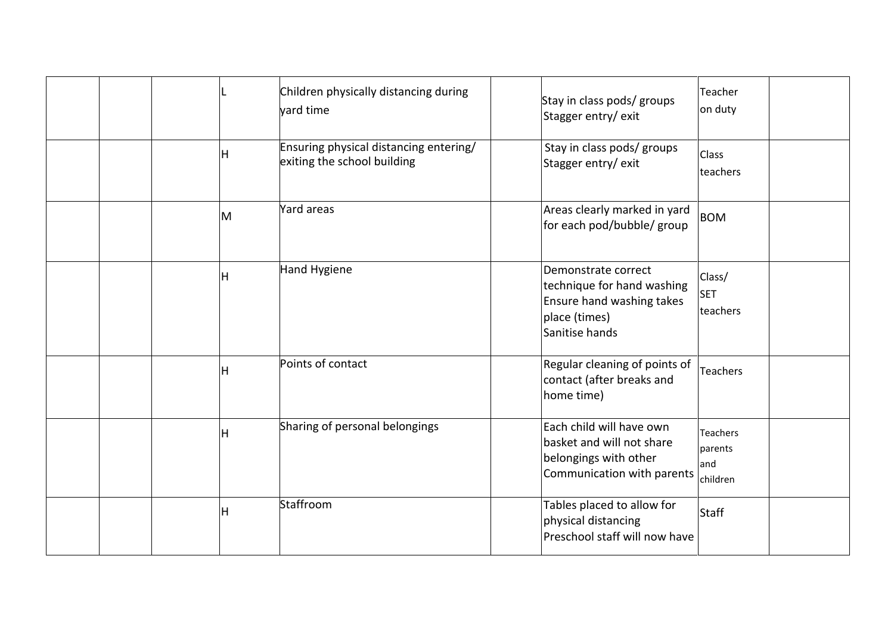|  |   | Children physically distancing during<br>yard time                    | Stay in class pods/ groups<br>Stagger entry/exit                                                                  | Teacher<br>on duty                            |
|--|---|-----------------------------------------------------------------------|-------------------------------------------------------------------------------------------------------------------|-----------------------------------------------|
|  | н | Ensuring physical distancing entering/<br>exiting the school building | Stay in class pods/ groups<br>Stagger entry/exit                                                                  | Class<br>teachers                             |
|  | M | Yard areas                                                            | Areas clearly marked in yard<br>for each pod/bubble/ group                                                        | <b>BOM</b>                                    |
|  | Η | Hand Hygiene                                                          | Demonstrate correct<br>technique for hand washing<br>Ensure hand washing takes<br>place (times)<br>Sanitise hands | Class/<br><b>SET</b><br>teachers              |
|  | Η | Points of contact                                                     | Regular cleaning of points of<br>contact (after breaks and<br>home time)                                          | Teachers                                      |
|  | н | Sharing of personal belongings                                        | Each child will have own<br>basket and will not share<br>belongings with other<br>Communication with parents      | <b>Teachers</b><br>parents<br>and<br>children |
|  | Η | Staffroom                                                             | Tables placed to allow for<br>physical distancing<br>Preschool staff will now have                                | Staff                                         |